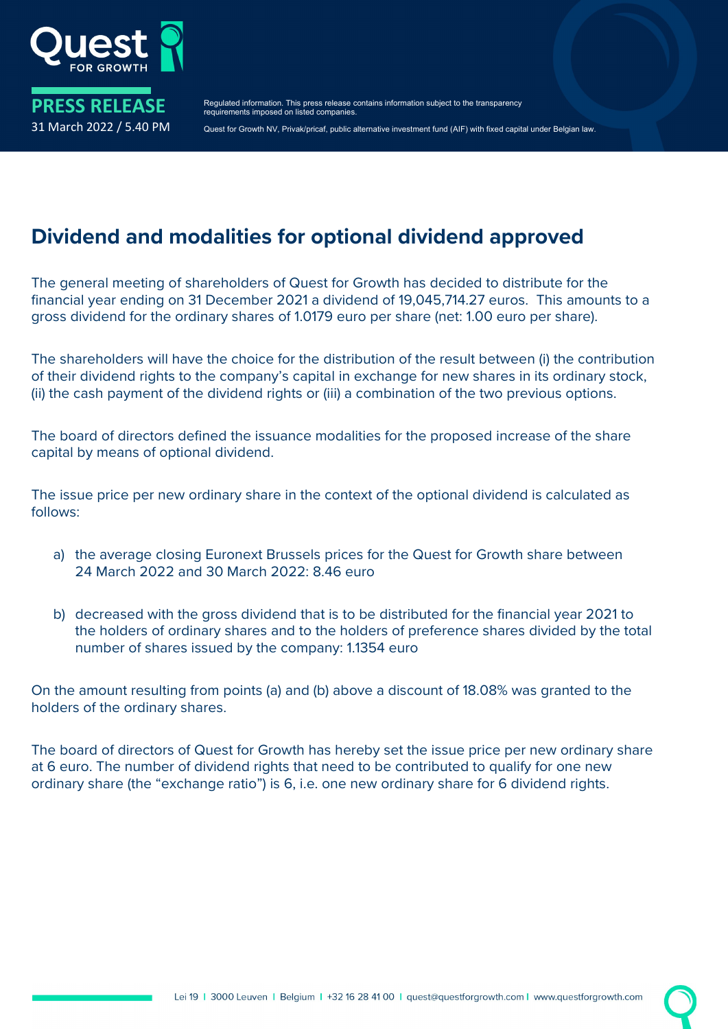

Regulated information. This press release contains information subject to the transparency requirements imposed on listed companies.

Quest for Growth NV, Privak/pricaf, public alternative investment fund (AIF) with fixed capital under Belgian law.

## **Dividend and modalities for optional dividend approved**

The general meeting of shareholders of Quest for Growth has decided to distribute for the financial year ending on 31 December 2021 a dividend of 19,045,714.27 euros. This amounts to a gross dividend for the ordinary shares of 1.0179 euro per share (net: 1.00 euro per share).

The shareholders will have the choice for the distribution of the result between (i) the contribution of their dividend rights to the company's capital in exchange for new shares in its ordinary stock, (ii) the cash payment of the dividend rights or (iii) a combination of the two previous options.

The board of directors defined the issuance modalities for the proposed increase of the share capital by means of optional dividend.

The issue price per new ordinary share in the context of the optional dividend is calculated as follows:

- a) the average closing Euronext Brussels prices for the Quest for Growth share between 24 March 2022 and 30 March 2022: 8.46 euro
- b) decreased with the gross dividend that is to be distributed for the financial year 2021 to the holders of ordinary shares and to the holders of preference shares divided by the total number of shares issued by the company: 1.1354 euro

On the amount resulting from points (a) and (b) above a discount of 18.08% was granted to the holders of the ordinary shares.

The board of directors of Quest for Growth has hereby set the issue price per new ordinary share at 6 euro. The number of dividend rights that need to be contributed to qualify for one new ordinary share (the "exchange ratio") is 6, i.e. one new ordinary share for 6 dividend rights.